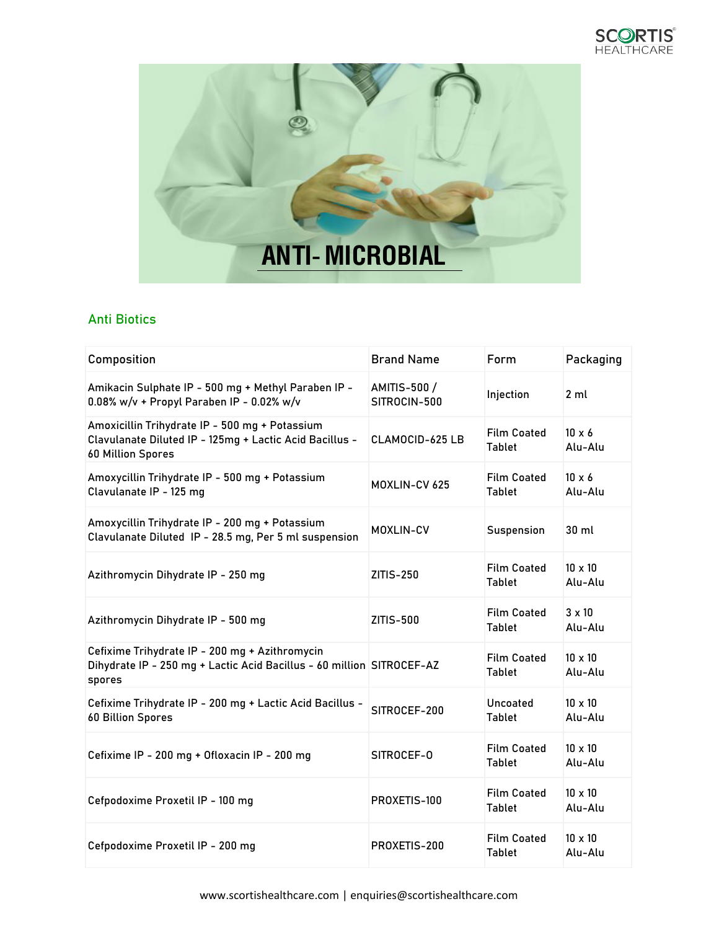



## Anti Biotics

| Composition                                                                                                                           | <b>Brand Name</b>            | Form                                | Packaging                 |
|---------------------------------------------------------------------------------------------------------------------------------------|------------------------------|-------------------------------------|---------------------------|
| Amikacin Sulphate IP - 500 mg + Methyl Paraben IP -<br>0.08% w/v + Propyl Paraben IP - 0.02% w/v                                      | AMITIS-500 /<br>SITROCIN-500 | Injection                           | 2 ml                      |
| Amoxicillin Trihydrate IP - 500 mg + Potassium<br>Clavulanate Diluted IP - 125mg + Lactic Acid Bacillus -<br><b>60 Million Spores</b> | CLAMOCID-625 LB              | <b>Film Coated</b><br><b>Tablet</b> | $10 \times 6$<br>Alu-Alu  |
| Amoxycillin Trihydrate IP - 500 mg + Potassium<br>Clavulanate IP - 125 mg                                                             | MOXLIN-CV 625                | <b>Film Coated</b><br><b>Tablet</b> | $10 \times 6$<br>Alu-Alu  |
| Amoxycillin Trihydrate IP - 200 mg + Potassium<br>Clavulanate Diluted IP - 28.5 mg, Per 5 ml suspension                               | <b>MOXLIN-CV</b>             | Suspension                          | 30 ml                     |
| Azithromycin Dihydrate IP - 250 mg                                                                                                    | ZITIS-250                    | <b>Film Coated</b><br><b>Tablet</b> | $10 \times 10$<br>Alu-Alu |
| Azithromycin Dihydrate IP - 500 mg                                                                                                    | ZITIS-500                    | <b>Film Coated</b><br>Tablet        | $3 \times 10$<br>Alu-Alu  |
| Cefixime Trihydrate IP - 200 mg + Azithromycin<br>Dihydrate IP - 250 mg + Lactic Acid Bacillus - 60 million SITROCEF-AZ<br>spores     |                              | <b>Film Coated</b><br><b>Tablet</b> | $10 \times 10$<br>Alu-Alu |
| Cefixime Trihydrate IP - 200 mg + Lactic Acid Bacillus -<br><b>60 Billion Spores</b>                                                  | SITROCEF-200                 | Uncoated<br><b>Tablet</b>           | $10 \times 10$<br>Alu-Alu |
| Cefixime IP - 200 mg + Ofloxacin IP - 200 mg                                                                                          | SITROCEF-0                   | <b>Film Coated</b><br><b>Tablet</b> | $10 \times 10$<br>Alu-Alu |
| Cefpodoxime Proxetil IP - 100 mg                                                                                                      | PROXETIS-100                 | <b>Film Coated</b><br><b>Tablet</b> | $10 \times 10$<br>Alu-Alu |
| Cefpodoxime Proxetil IP - 200 mg                                                                                                      | PROXETIS-200                 | <b>Film Coated</b><br><b>Tablet</b> | $10 \times 10$<br>Alu-Alu |